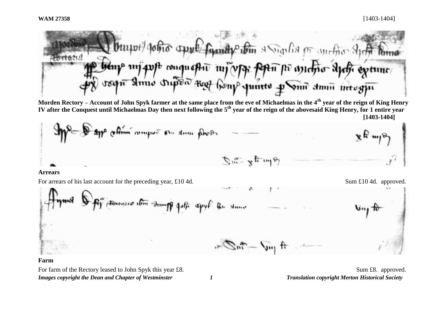fundy the a Sigilia or unific shift p mj quft conquestiv mj v pr poten po antono aptr extune n simo dupõa <sub>Kat</sub>

**Morden Rectory – Account of John Spyk farmer at the same place from the eve of Michaelmas in the 4th year of the reign of King Henry IV after the Conquest until Michaelmas Day then next following the 5th year of the reign of the abovesaid King Henry, for 1 entire year [1403-1404]**



## **Arrears**

For arrears of his last account for the preceding year, £10 4d. Sum £10 4d. Sum £10 4d. approved.

By Horocopia 16m Sumpt John spyf R. Huno  $\mathcal{F}=\mathcal{F}^{\mathcal{F}}-\mathcal{F}^{\mathcal{F}}$ 

## **Farm**

*Images copyright the Dean and Chapter of Westminster 1 Translation copyright Merton Historical Society* For farm of the Rectory leased to John Spyk this year £8. Sum £8. approved.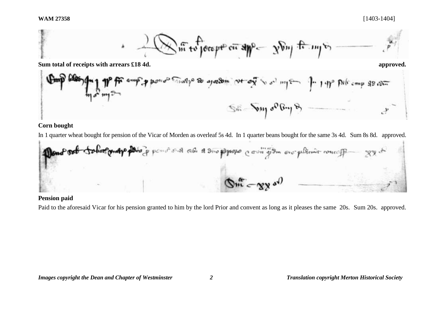

In 1 quarter wheat bought for pension of the Vicar of Morden as overleaf 5s 4d. In 1 quarter beans bought for the same 3s 4d. Sum 8s 8d. approved.



## **Pension paid**

Paid to the aforesaid Vicar for his pension granted to him by the lord Prior and convent as long as it pleases the same 20s. Sum 20s. approved.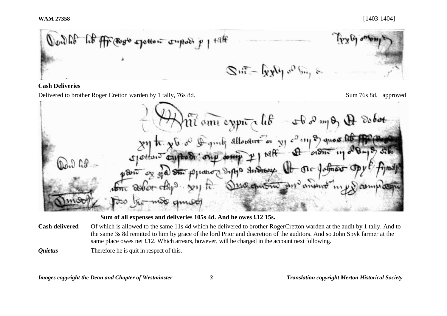

## **Cash Deliveries**

Delivered to brother Roger Cretton warden by 1 tally, 76s 8d. Sum 76s 8d. Sum 76s 8d. approved

Tomi expira lib - A 2 mpg A  $\partial_{c}$ *bot* 27 h. x b or ling allowing or y comp of question otton Tourtoon DAD AP or no on please depps the one of the potmer of 110 chartru 211 anount  $\pi$  Soliet other

**Sum of all expenses and deliveries 105s 4d. And he owes £12 15s.**

- **Cash delivered** Of which is allowed to the same 11s 4d which he delivered to brother RogerCretton warden at the audit by 1 tally. And to the same 3s 8d remitted to him by grace of the lord Prior and discretion of the auditors. And so John Spyk farmer at the same place owes net £12. Which arrears, however, will be charged in the account next following.
- *Quietus* Therefore he is quit in respect of this.